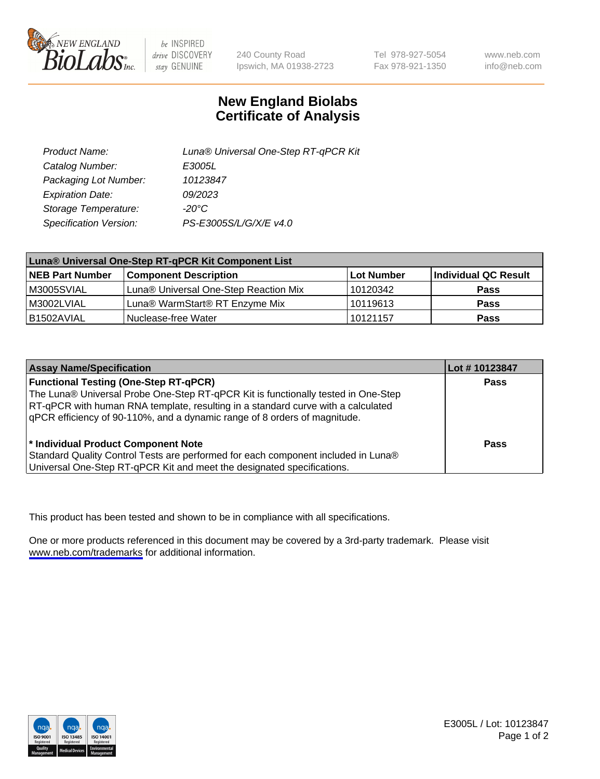

be INSPIRED drive DISCOVERY stay GENUINE

240 County Road Ipswich, MA 01938-2723 Tel 978-927-5054 Fax 978-921-1350

www.neb.com info@neb.com

## **New England Biolabs Certificate of Analysis**

| Product Name:           | Luna® Universal One-Step RT-qPCR Kit |
|-------------------------|--------------------------------------|
| Catalog Number:         | E3005L                               |
| Packaging Lot Number:   | 10123847                             |
| <b>Expiration Date:</b> | 09/2023                              |
| Storage Temperature:    | $-20^{\circ}$ C                      |
| Specification Version:  | PS-E3005S/L/G/X/E v4.0               |

| Luna® Universal One-Step RT-qPCR Kit Component List |                                       |            |                      |  |
|-----------------------------------------------------|---------------------------------------|------------|----------------------|--|
| <b>NEB Part Number</b>                              | <b>Component Description</b>          | Lot Number | Individual QC Result |  |
| M3005SVIAL                                          | Luna® Universal One-Step Reaction Mix | 10120342   | Pass                 |  |
| M3002LVIAL                                          | Luna® WarmStart® RT Enzyme Mix        | 10119613   | <b>Pass</b>          |  |
| B1502AVIAL                                          | l Nuclease-free Water                 | 10121157   | <b>Pass</b>          |  |

| <b>Assay Name/Specification</b>                                                   | Lot # 10123847 |
|-----------------------------------------------------------------------------------|----------------|
| <b>Functional Testing (One-Step RT-qPCR)</b>                                      | <b>Pass</b>    |
| The Luna® Universal Probe One-Step RT-qPCR Kit is functionally tested in One-Step |                |
| RT-qPCR with human RNA template, resulting in a standard curve with a calculated  |                |
| qPCR efficiency of 90-110%, and a dynamic range of 8 orders of magnitude.         |                |
| <sup>*</sup> Individual Product Component Note                                    | Pass           |
| Standard Quality Control Tests are performed for each component included in Luna® |                |
| Universal One-Step RT-qPCR Kit and meet the designated specifications.            |                |

This product has been tested and shown to be in compliance with all specifications.

One or more products referenced in this document may be covered by a 3rd-party trademark. Please visit <www.neb.com/trademarks>for additional information.